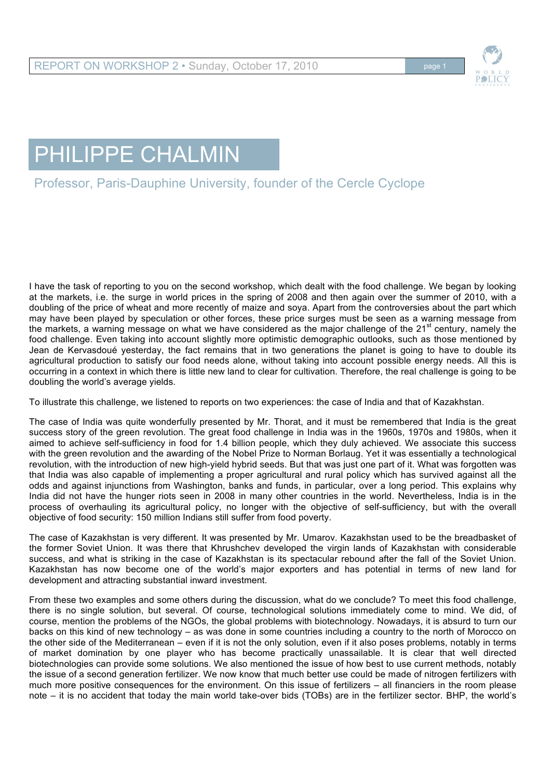

## PHILIPPE CHALMIN

## Professor, Paris-Dauphine University, founder of the Cercle Cyclope

I have the task of reporting to you on the second workshop, which dealt with the food challenge. We began by looking at the markets, i.e. the surge in world prices in the spring of 2008 and then again over the summer of 2010, with a doubling of the price of wheat and more recently of maize and soya. Apart from the controversies about the part which may have been played by speculation or other forces, these price surges must be seen as a warning message from the markets, a warning message on what we have considered as the major challenge of the 21<sup>st</sup> century, namely the food challenge. Even taking into account slightly more optimistic demographic outlooks, such as those mentioned by Jean de Kervasdoué yesterday, the fact remains that in two generations the planet is going to have to double its agricultural production to satisfy our food needs alone, without taking into account possible energy needs. All this is occurring in a context in which there is little new land to clear for cultivation. Therefore, the real challenge is going to be doubling the world's average yields.

To illustrate this challenge, we listened to reports on two experiences: the case of India and that of Kazakhstan.

The case of India was quite wonderfully presented by Mr. Thorat, and it must be remembered that India is the great success story of the green revolution. The great food challenge in India was in the 1960s, 1970s and 1980s, when it aimed to achieve self-sufficiency in food for 1.4 billion people, which they duly achieved. We associate this success with the green revolution and the awarding of the Nobel Prize to Norman Borlaug. Yet it was essentially a technological revolution, with the introduction of new high-yield hybrid seeds. But that was just one part of it. What was forgotten was that India was also capable of implementing a proper agricultural and rural policy which has survived against all the odds and against injunctions from Washington, banks and funds, in particular, over a long period. This explains why India did not have the hunger riots seen in 2008 in many other countries in the world. Nevertheless, India is in the process of overhauling its agricultural policy, no longer with the objective of self-sufficiency, but with the overall objective of food security: 150 million Indians still suffer from food poverty.

The case of Kazakhstan is very different. It was presented by Mr. Umarov. Kazakhstan used to be the breadbasket of the former Soviet Union. It was there that Khrushchev developed the virgin lands of Kazakhstan with considerable success, and what is striking in the case of Kazakhstan is its spectacular rebound after the fall of the Soviet Union. Kazakhstan has now become one of the world's major exporters and has potential in terms of new land for development and attracting substantial inward investment.

From these two examples and some others during the discussion, what do we conclude? To meet this food challenge, there is no single solution, but several. Of course, technological solutions immediately come to mind. We did, of course, mention the problems of the NGOs, the global problems with biotechnology. Nowadays, it is absurd to turn our backs on this kind of new technology – as was done in some countries including a country to the north of Morocco on the other side of the Mediterranean – even if it is not the only solution, even if it also poses problems, notably in terms of market domination by one player who has become practically unassailable. It is clear that well directed biotechnologies can provide some solutions. We also mentioned the issue of how best to use current methods, notably the issue of a second generation fertilizer. We now know that much better use could be made of nitrogen fertilizers with much more positive consequences for the environment. On this issue of fertilizers – all financiers in the room please note – it is no accident that today the main world take-over bids (TOBs) are in the fertilizer sector. BHP, the world's